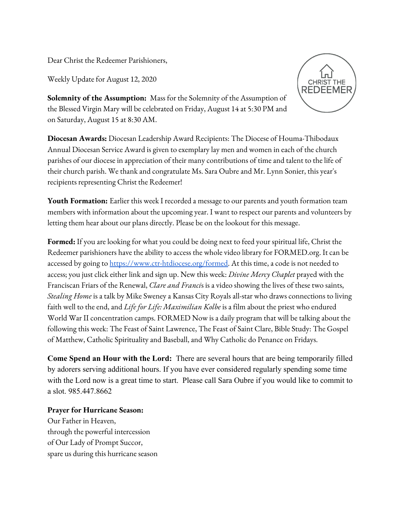Dear Christ the Redeemer Parishioners,

Weekly Update for August 12, 2020



**Solemnity of the Assumption:** Mass for the Solemnity of the Assumption of the Blessed Virgin Mary will be celebrated on Friday, August 14 at 5:30 PM and on Saturday, August 15 at 8:30 AM.

**Diocesan Awards:** Diocesan Leadership Award Recipients: The Diocese of Houma-Thibodaux Annual Diocesan Service Award is given to exemplary lay men and women in each of the church parishes of our diocese in appreciation of their many contributions of time and talent to the life of their church parish. We thank and congratulate Ms. Sara Oubre and Mr. Lynn Sonier, this year's recipients representing Christ the Redeemer!

**Youth Formation:** Earlier this week I recorded a message to our parents and youth formation team members with information about the upcoming year. I want to respect our parents and volunteers by letting them hear about our plans directly. Please be on the lookout for this message.

**Formed:** If you are looking for what you could be doing next to feed your spiritual life, Christ the Redeemer parishioners have the ability to access the whole video library for FORMED.org. It can be accessed by going to [https://www.ctr-htdiocese.org/formed.](https://www.ctr-htdiocese.org/formed) At this time, a code is not needed to access; you just click either link and sign up. New this week: *Divine Mercy Chaplet* prayed with the Franciscan Friars of the Renewal, *Clare and Franci*s is a video showing the lives of these two saints, *Stealing Home* is a talk by Mike Sweney a Kansas City Royals all-star who draws connections to living faith well to the end, and *Life for Life: Maximilian Kolbe* is a film about the priest who endured World War II concentration camps. FORMED Now is a daily program that will be talking about the following this week: The Feast of Saint Lawrence, The Feast of Saint Clare, Bible Study: The Gospel of Matthew, Catholic Spirituality and Baseball, and Why Catholic do Penance on Fridays.

**Come Spend an Hour with the Lord:** There are several hours that are being temporarily filled by adorers serving additional hours. If you have ever considered regularly spending some time with the Lord now is a great time to start. Please call Sara Oubre if you would like to commit to a slot. 985.447.8662

## **Prayer for Hurricane Season:**

Our Father in Heaven, through the powerful intercession of Our Lady of Prompt Succor, spare us during this hurricane season